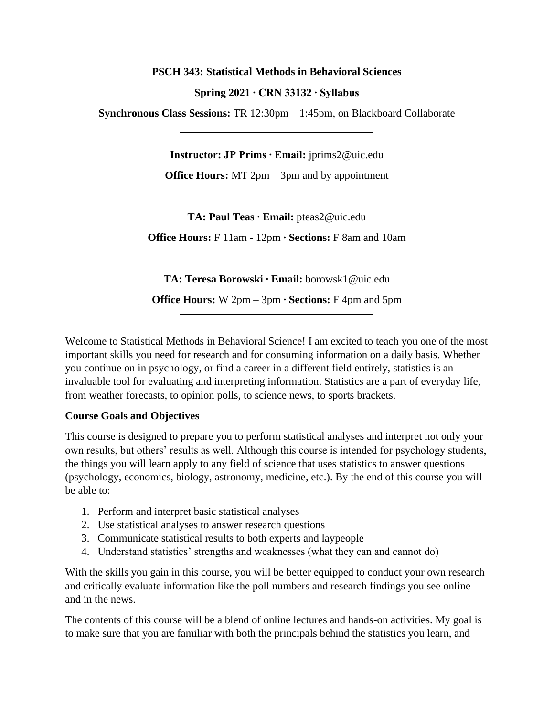#### **PSCH 343: Statistical Methods in Behavioral Sciences**

## **Spring 2021 ∙ CRN 33132 ∙ Syllabus**

**Synchronous Class Sessions:** TR 12:30pm – 1:45pm, on Blackboard Collaborate

**Instructor: JP Prims ∙ Email:** jprims2@uic.edu

**Office Hours:** MT 2pm – 3pm and by appointment

**TA: Paul Teas ∙ Email:** pteas2@uic.edu

**Office Hours:** F 11am - 12pm **∙ Sections:** F 8am and 10am

**TA: Teresa Borowski ∙ Email:** borowsk1@uic.edu **Office Hours:** W 2pm – 3pm **∙ Sections:** F 4pm and 5pm

Welcome to Statistical Methods in Behavioral Science! I am excited to teach you one of the most important skills you need for research and for consuming information on a daily basis. Whether you continue on in psychology, or find a career in a different field entirely, statistics is an invaluable tool for evaluating and interpreting information. Statistics are a part of everyday life, from weather forecasts, to opinion polls, to science news, to sports brackets.

# **Course Goals and Objectives**

This course is designed to prepare you to perform statistical analyses and interpret not only your own results, but others' results as well. Although this course is intended for psychology students, the things you will learn apply to any field of science that uses statistics to answer questions (psychology, economics, biology, astronomy, medicine, etc.). By the end of this course you will be able to:

- 1. Perform and interpret basic statistical analyses
- 2. Use statistical analyses to answer research questions
- 3. Communicate statistical results to both experts and laypeople
- 4. Understand statistics' strengths and weaknesses (what they can and cannot do)

With the skills you gain in this course, you will be better equipped to conduct your own research and critically evaluate information like the poll numbers and research findings you see online and in the news.

The contents of this course will be a blend of online lectures and hands-on activities. My goal is to make sure that you are familiar with both the principals behind the statistics you learn, and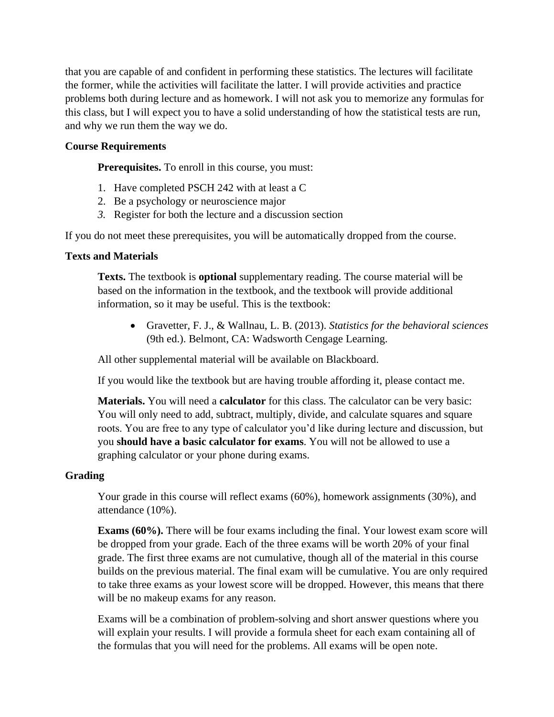that you are capable of and confident in performing these statistics. The lectures will facilitate the former, while the activities will facilitate the latter. I will provide activities and practice problems both during lecture and as homework. I will not ask you to memorize any formulas for this class, but I will expect you to have a solid understanding of how the statistical tests are run, and why we run them the way we do.

## **Course Requirements**

**Prerequisites.** To enroll in this course, you must:

- 1. Have completed PSCH 242 with at least a C
- 2. Be a psychology or neuroscience major
- *3.* Register for both the lecture and a discussion section

If you do not meet these prerequisites, you will be automatically dropped from the course.

## **Texts and Materials**

**Texts.** The textbook is **optional** supplementary reading. The course material will be based on the information in the textbook, and the textbook will provide additional information, so it may be useful. This is the textbook:

• Gravetter, F. J., & Wallnau, L. B. (2013). *Statistics for the behavioral sciences*  (9th ed.). Belmont, CA: Wadsworth Cengage Learning.

All other supplemental material will be available on Blackboard.

If you would like the textbook but are having trouble affording it, please contact me.

**Materials.** You will need a **calculator** for this class. The calculator can be very basic: You will only need to add, subtract, multiply, divide, and calculate squares and square roots. You are free to any type of calculator you'd like during lecture and discussion, but you **should have a basic calculator for exams**. You will not be allowed to use a graphing calculator or your phone during exams.

# **Grading**

Your grade in this course will reflect exams (60%), homework assignments (30%), and attendance (10%).

**Exams (60%).** There will be four exams including the final. Your lowest exam score will be dropped from your grade. Each of the three exams will be worth 20% of your final grade. The first three exams are not cumulative, though all of the material in this course builds on the previous material. The final exam will be cumulative. You are only required to take three exams as your lowest score will be dropped. However, this means that there will be no makeup exams for any reason.

Exams will be a combination of problem-solving and short answer questions where you will explain your results. I will provide a formula sheet for each exam containing all of the formulas that you will need for the problems. All exams will be open note.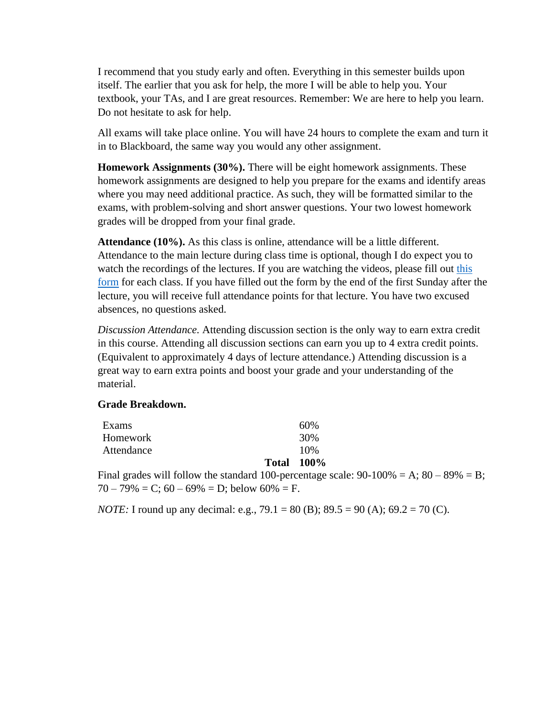I recommend that you study early and often. Everything in this semester builds upon itself. The earlier that you ask for help, the more I will be able to help you. Your textbook, your TAs, and I are great resources. Remember: We are here to help you learn. Do not hesitate to ask for help.

All exams will take place online. You will have 24 hours to complete the exam and turn it in to Blackboard, the same way you would any other assignment.

**Homework Assignments (30%).** There will be eight homework assignments. These homework assignments are designed to help you prepare for the exams and identify areas where you may need additional practice. As such, they will be formatted similar to the exams, with problem-solving and short answer questions. Your two lowest homework grades will be dropped from your final grade.

**Attendance (10%).** As this class is online, attendance will be a little different. Attendance to the main lecture during class time is optional, though I do expect you to watch the recordings of the lectures. If you are watching the videos, please fill out this [form](https://uic.ca1.qualtrics.com/jfe/form/SV_a9SWsWTwvRH6ogl) for each class. If you have filled out the form by the end of the first Sunday after the lecture, you will receive full attendance points for that lecture. You have two excused absences, no questions asked.

*Discussion Attendance.* Attending discussion section is the only way to earn extra credit in this course. Attending all discussion sections can earn you up to 4 extra credit points. (Equivalent to approximately 4 days of lecture attendance.) Attending discussion is a great way to earn extra points and boost your grade and your understanding of the material.

### **Grade Breakdown.**

|                 | <b>Total 100%</b> |
|-----------------|-------------------|
| Attendance      | 10%               |
| <b>Homework</b> | 30%               |
| Exams           | 60%               |

Final grades will follow the standard 100-percentage scale:  $90-100\% = A$ ;  $80-89\% = B$ ;  $70 - 79\% = C$ ;  $60 - 69\% = D$ ; below  $60\% = F$ .

*NOTE*: I round up any decimal: e.g., 79.1 = 80 (B); 89.5 = 90 (A); 69.2 = 70 (C).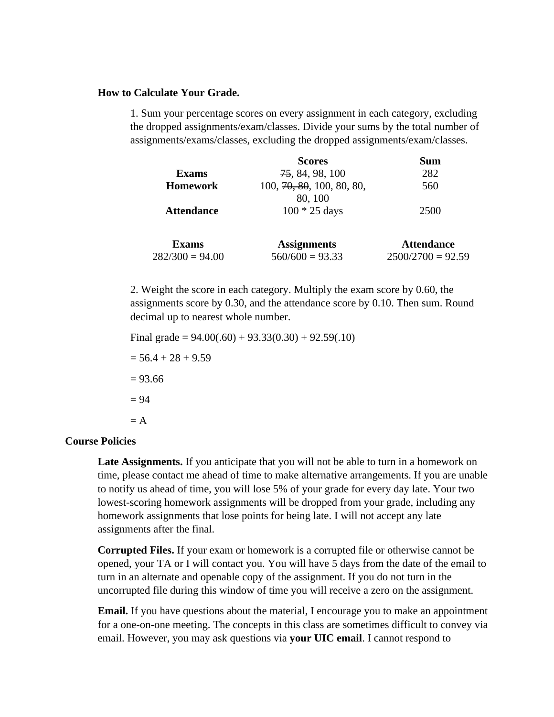#### **How to Calculate Your Grade.**

1. Sum your percentage scores on every assignment in each category, excluding the dropped assignments/exam/classes. Divide your sums by the total number of assignments/exams/classes, excluding the dropped assignments/exam/classes.

|                   | <b>Scores</b>             | Sum                 |
|-------------------|---------------------------|---------------------|
| <b>Exams</b>      | 75, 84, 98, 100           | 282                 |
| <b>Homework</b>   | 100, 70, 80, 100, 80, 80, | 560                 |
|                   | 80, 100                   |                     |
| <b>Attendance</b> | $100 * 25$ days           | 2500                |
| <b>Exams</b>      | <b>Assignments</b>        | <b>Attendance</b>   |
| $282/300 = 94.00$ | $560/600 = 93.33$         | $2500/2700 = 92.59$ |

2. Weight the score in each category. Multiply the exam score by 0.60, the assignments score by 0.30, and the attendance score by 0.10. Then sum. Round decimal up to nearest whole number.

```
Final grade = 94.00(.60) + 93.33(0.30) + 92.59(.10)= 56.4 + 28 + 9.59= 93.66= 94= A
```
### **Course Policies**

**Late Assignments.** If you anticipate that you will not be able to turn in a homework on time, please contact me ahead of time to make alternative arrangements. If you are unable to notify us ahead of time, you will lose 5% of your grade for every day late. Your two lowest-scoring homework assignments will be dropped from your grade, including any homework assignments that lose points for being late. I will not accept any late assignments after the final.

**Corrupted Files.** If your exam or homework is a corrupted file or otherwise cannot be opened, your TA or I will contact you. You will have 5 days from the date of the email to turn in an alternate and openable copy of the assignment. If you do not turn in the uncorrupted file during this window of time you will receive a zero on the assignment.

**Email.** If you have questions about the material, I encourage you to make an appointment for a one-on-one meeting. The concepts in this class are sometimes difficult to convey via email. However, you may ask questions via **your UIC email**. I cannot respond to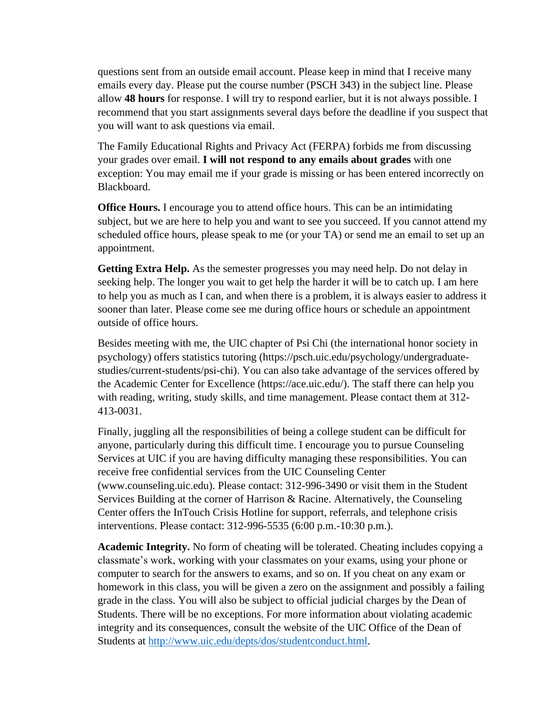questions sent from an outside email account. Please keep in mind that I receive many emails every day. Please put the course number (PSCH 343) in the subject line. Please allow **48 hours** for response. I will try to respond earlier, but it is not always possible. I recommend that you start assignments several days before the deadline if you suspect that you will want to ask questions via email.

The Family Educational Rights and Privacy Act (FERPA) forbids me from discussing your grades over email. **I will not respond to any emails about grades** with one exception: You may email me if your grade is missing or has been entered incorrectly on Blackboard.

**Office Hours.** I encourage you to attend office hours. This can be an intimidating subject, but we are here to help you and want to see you succeed. If you cannot attend my scheduled office hours, please speak to me (or your TA) or send me an email to set up an appointment.

**Getting Extra Help.** As the semester progresses you may need help. Do not delay in seeking help. The longer you wait to get help the harder it will be to catch up. I am here to help you as much as I can, and when there is a problem, it is always easier to address it sooner than later. Please come see me during office hours or schedule an appointment outside of office hours.

Besides meeting with me, the UIC chapter of Psi Chi (the international honor society in psychology) offers statistics tutoring (https://psch.uic.edu/psychology/undergraduatestudies/current-students/psi-chi). You can also take advantage of the services offered by the Academic Center for Excellence (https://ace.uic.edu/). The staff there can help you with reading, writing, study skills, and time management. Please contact them at 312- 413-0031.

Finally, juggling all the responsibilities of being a college student can be difficult for anyone, particularly during this difficult time. I encourage you to pursue Counseling Services at UIC if you are having difficulty managing these responsibilities. You can receive free confidential services from the UIC Counseling Center (www.counseling.uic.edu). Please contact: 312-996-3490 or visit them in the Student Services Building at the corner of Harrison & Racine. Alternatively, the Counseling Center offers the InTouch Crisis Hotline for support, referrals, and telephone crisis interventions. Please contact: 312-996-5535 (6:00 p.m.-10:30 p.m.).

**Academic Integrity.** No form of cheating will be tolerated. Cheating includes copying a classmate's work, working with your classmates on your exams, using your phone or computer to search for the answers to exams, and so on. If you cheat on any exam or homework in this class, you will be given a zero on the assignment and possibly a failing grade in the class. You will also be subject to official judicial charges by the Dean of Students. There will be no exceptions. For more information about violating academic integrity and its consequences, consult the website of the UIC Office of the Dean of Students at [http://www.uic.edu/depts/dos/studentconduct.html.](http://www.uic.edu/depts/dos/studentconduct.html)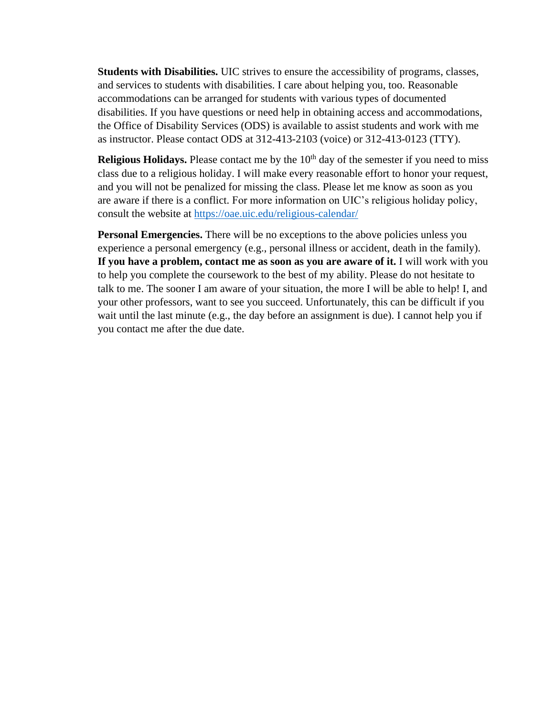**Students with Disabilities.** UIC strives to ensure the accessibility of programs, classes, and services to students with disabilities. I care about helping you, too. Reasonable accommodations can be arranged for students with various types of documented disabilities. If you have questions or need help in obtaining access and accommodations, the Office of Disability Services (ODS) is available to assist students and work with me as instructor. Please contact ODS at 312-413-2103 (voice) or 312-413-0123 (TTY).

**Religious Holidays.** Please contact me by the 10<sup>th</sup> day of the semester if you need to miss class due to a religious holiday. I will make every reasonable effort to honor your request, and you will not be penalized for missing the class. Please let me know as soon as you are aware if there is a conflict. For more information on UIC's religious holiday policy, consult the website at<https://oae.uic.edu/religious-calendar/>

**Personal Emergencies.** There will be no exceptions to the above policies unless you experience a personal emergency (e.g., personal illness or accident, death in the family). If you have a problem, contact me as soon as you are aware of it. I will work with you to help you complete the coursework to the best of my ability. Please do not hesitate to talk to me. The sooner I am aware of your situation, the more I will be able to help! I, and your other professors, want to see you succeed. Unfortunately, this can be difficult if you wait until the last minute (e.g., the day before an assignment is due). I cannot help you if you contact me after the due date.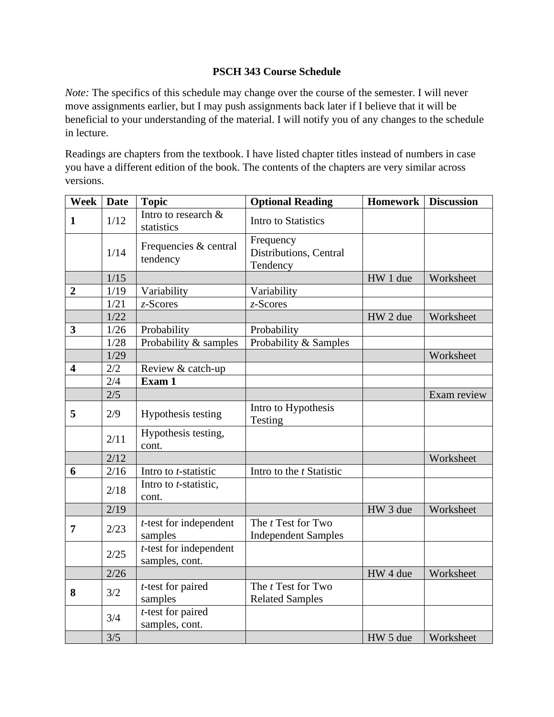# **PSCH 343 Course Schedule**

*Note:* The specifics of this schedule may change over the course of the semester. I will never move assignments earlier, but I may push assignments back later if I believe that it will be beneficial to your understanding of the material. I will notify you of any changes to the schedule in lecture.

Readings are chapters from the textbook. I have listed chapter titles instead of numbers in case you have a different edition of the book. The contents of the chapters are very similar across versions.

| <b>Week</b>             | <b>Date</b> | <b>Topic</b>                                | <b>Optional Reading</b>                                 | <b>Homework</b>     | <b>Discussion</b> |
|-------------------------|-------------|---------------------------------------------|---------------------------------------------------------|---------------------|-------------------|
| $\mathbf{1}$            | 1/12        | Intro to research &<br>statistics           | <b>Intro to Statistics</b>                              |                     |                   |
|                         | 1/14        | Frequencies & central<br>tendency           | Frequency<br>Distributions, Central<br>Tendency         |                     |                   |
|                         | $1/15$      |                                             |                                                         | HW 1 due            | Worksheet         |
| $\boldsymbol{2}$        | 1/19        | Variability                                 | Variability                                             |                     |                   |
|                         | 1/21        | $z$ -Scores                                 | $z$ -Scores                                             |                     |                   |
|                         | 1/22        |                                             |                                                         | HW 2 due            | Worksheet         |
| $\overline{\mathbf{3}}$ | 1/26        | Probability                                 | Probability                                             |                     |                   |
|                         | 1/28        | Probability & samples                       | Probability & Samples                                   |                     |                   |
|                         | 1/29        |                                             |                                                         |                     | Worksheet         |
| $\overline{\mathbf{4}}$ | 2/2         | Review & catch-up                           |                                                         |                     |                   |
|                         | 2/4         | Exam 1                                      |                                                         |                     |                   |
|                         | 2/5         |                                             |                                                         |                     | Exam review       |
| 5                       | 2/9         | Hypothesis testing                          | Intro to Hypothesis<br>Testing                          |                     |                   |
|                         | 2/11        | Hypothesis testing,<br>cont.                |                                                         |                     |                   |
|                         | 2/12        |                                             |                                                         |                     | Worksheet         |
| 6                       | 2/16        | Intro to <i>t</i> -statistic                | Intro to the <i>t</i> Statistic                         |                     |                   |
|                         | 2/18        | Intro to <i>t</i> -statistic,<br>cont.      |                                                         |                     |                   |
|                         | 2/19        |                                             |                                                         | HW 3 due            | Worksheet         |
| $\overline{7}$          | 2/23        | $t$ -test for independent<br>samples        | The <i>t</i> Test for Two<br><b>Independent Samples</b> |                     |                   |
|                         | 2/25        | $t$ -test for independent<br>samples, cont. |                                                         |                     |                   |
|                         | 2/26        |                                             |                                                         | HW 4 due            | Worksheet         |
| 8                       | 3/2         | $t$ -test for paired<br>samples             | The <i>t</i> Test for Two<br><b>Related Samples</b>     |                     |                   |
|                         | 3/4         | $t$ -test for paired<br>samples, cont.      |                                                         |                     |                   |
|                         | 3/5         |                                             |                                                         | HW <sub>5</sub> due | Worksheet         |